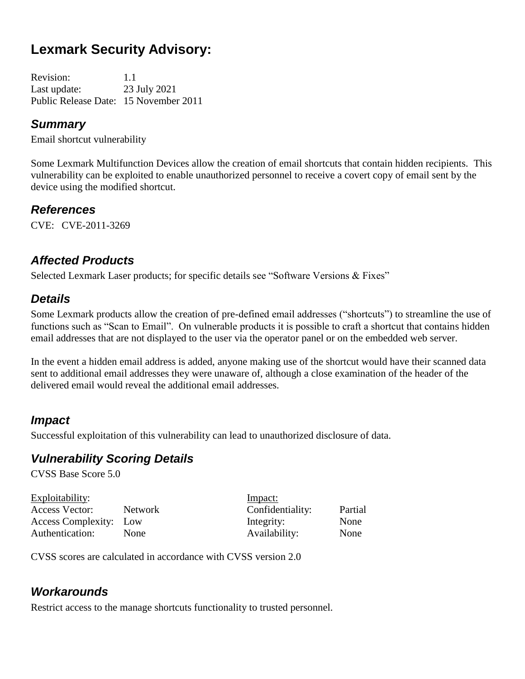# **Lexmark Security Advisory:**

Revision: 1.1 Last update: 23 July 2021 Public Release Date: 15 November 2011

### *Summary*

Email shortcut vulnerability

Some Lexmark Multifunction Devices allow the creation of email shortcuts that contain hidden recipients. This vulnerability can be exploited to enable unauthorized personnel to receive a covert copy of email sent by the device using the modified shortcut.

### *References*

CVE: CVE-2011-3269

### *Affected Products*

Selected Lexmark Laser products; for specific details see "Software Versions & Fixes"

### *Details*

Some Lexmark products allow the creation of pre-defined email addresses ("shortcuts") to streamline the use of functions such as "Scan to Email". On vulnerable products it is possible to craft a shortcut that contains hidden email addresses that are not displayed to the user via the operator panel or on the embedded web server.

In the event a hidden email address is added, anyone making use of the shortcut would have their scanned data sent to additional email addresses they were unaware of, although a close examination of the header of the delivered email would reveal the additional email addresses.

# *Impact*

Successful exploitation of this vulnerability can lead to unauthorized disclosure of data.

# *Vulnerability Scoring Details*

CVSS Base Score 5.0

| Exploitability:        |                | Impact:          |         |
|------------------------|----------------|------------------|---------|
| Access Vector:         | <b>Network</b> | Confidentiality: | Partial |
| Access Complexity: Low |                | Integrity:       | None    |
| Authentication:        | <b>None</b>    | Availability:    | None    |

CVSS scores are calculated in accordance with CVSS version 2.0

# *Workarounds*

Restrict access to the manage shortcuts functionality to trusted personnel.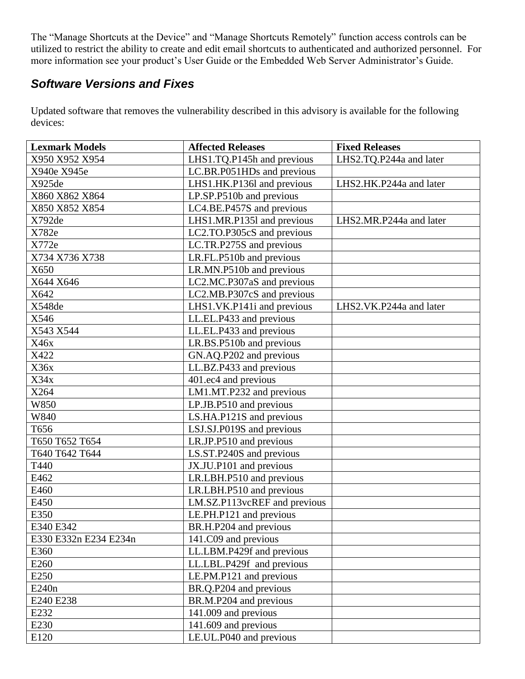The "Manage Shortcuts at the Device" and "Manage Shortcuts Remotely" function access controls can be utilized to restrict the ability to create and edit email shortcuts to authenticated and authorized personnel. For more information see your product's User Guide or the Embedded Web Server Administrator's Guide.

# *Software Versions and Fixes*

Updated software that removes the vulnerability described in this advisory is available for the following devices:

| <b>Lexmark Models</b> | <b>Affected Releases</b>     | <b>Fixed Releases</b>   |
|-----------------------|------------------------------|-------------------------|
| X950 X952 X954        | LHS1.TQ.P145h and previous   | LHS2.TQ.P244a and later |
| X940e X945e           | LC.BR.P051HDs and previous   |                         |
| X925de                | LHS1.HK.P136l and previous   | LHS2.HK.P244a and later |
| X860 X862 X864        | LP.SP.P510b and previous     |                         |
| X850 X852 X854        | LC4.BE.P457S and previous    |                         |
| X792de                | LHS1.MR.P1351 and previous   | LHS2.MR.P244a and later |
| X782e                 | LC2.TO.P305cS and previous   |                         |
| X772e                 | LC.TR.P275S and previous     |                         |
| X734 X736 X738        | LR.FL.P510b and previous     |                         |
| X650                  | LR.MN.P510b and previous     |                         |
| X644 X646             | LC2.MC.P307aS and previous   |                         |
| X642                  | LC2.MB.P307cS and previous   |                         |
| X548de                | LHS1.VK.P141i and previous   | LHS2.VK.P244a and later |
| X546                  | LL.EL.P433 and previous      |                         |
| X543 X544             | LL.EL.P433 and previous      |                         |
| X46x                  | LR.BS.P510b and previous     |                         |
| X422                  | GN.AQ.P202 and previous      |                         |
| X36x                  | LL.BZ.P433 and previous      |                         |
| X34x                  | 401.ec4 and previous         |                         |
| X264                  | LM1.MT.P232 and previous     |                         |
| W850                  | LP.JB.P510 and previous      |                         |
| W840                  | LS.HA.P121S and previous     |                         |
| T656                  | LSJ.SJ.P019S and previous    |                         |
| T650 T652 T654        | LR.JP.P510 and previous      |                         |
| Т640 Т642 Т644        | LS.ST.P240S and previous     |                         |
| T440                  | JX.JU.P101 and previous      |                         |
| E462                  | LR.LBH.P510 and previous     |                         |
| E460                  | LR.LBH.P510 and previous     |                         |
| E450                  | LM.SZ.P113vcREF and previous |                         |
| E350                  | LE.PH.P121 and previous      |                         |
| E340 E342             | BR.H.P204 and previous       |                         |
| E330 E332n E234 E234n | 141.C09 and previous         |                         |
| E360                  | LL.LBM.P429f and previous    |                         |
| E260                  | LL.LBL.P429f and previous    |                         |
| E <sub>250</sub>      | LE.PM.P121 and previous      |                         |
| E240 <sub>n</sub>     | BR.Q.P204 and previous       |                         |
| E240 E238             | BR.M.P204 and previous       |                         |
| E232                  | 141.009 and previous         |                         |
| E230                  | 141.609 and previous         |                         |
| E120                  | LE.UL.P040 and previous      |                         |